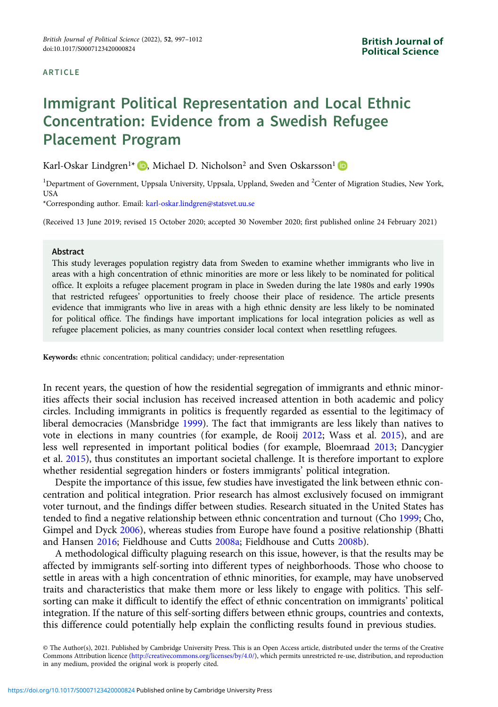#### ARTICLE

# Immigrant Political Representation and Local Ethnic Concentration: Evidence from a Swedish Refugee Placement Program

Karl-Oskar Lindgren<sup>1\*</sup>  $\bullet$ [,](https://orcid.org/0000-0002-1101-6660) Michael D. Nicholson<sup>2</sup> and Sven Oskarsson<sup>1</sup>

<sup>1</sup>Department of Government, Uppsala University, Uppsala, Uppland, Sweden and <sup>2</sup>Center of Migration Studies, New York, **USA** 

\*Corresponding author. Email: [karl-oskar.lindgren@statsvet.uu.se](mailto:karl-oskar.lindgren@statsvet.uu.se)

(Received 13 June 2019; revised 15 October 2020; accepted 30 November 2020; first published online 24 February 2021)

#### Abstract

This study leverages population registry data from Sweden to examine whether immigrants who live in areas with a high concentration of ethnic minorities are more or less likely to be nominated for political office. It exploits a refugee placement program in place in Sweden during the late 1980s and early 1990s that restricted refugees' opportunities to freely choose their place of residence. The article presents evidence that immigrants who live in areas with a high ethnic density are less likely to be nominated for political office. The findings have important implications for local integration policies as well as refugee placement policies, as many countries consider local context when resettling refugees.

Keywords: ethnic concentration; political candidacy; under-representation

In recent years, the question of how the residential segregation of immigrants and ethnic minorities affects their social inclusion has received increased attention in both academic and policy circles. Including immigrants in politics is frequently regarded as essential to the legitimacy of liberal democracies (Mansbridge [1999\)](#page-15-0). The fact that immigrants are less likely than natives to vote in elections in many countries (for example, de Rooij [2012](#page-15-0); Wass et al. [2015](#page-15-0)), and are less well represented in important political bodies (for example, Bloemraad [2013;](#page-14-0) Dancygier et al. [2015\)](#page-15-0), thus constitutes an important societal challenge. It is therefore important to explore whether residential segregation hinders or fosters immigrants' political integration.

Despite the importance of this issue, few studies have investigated the link between ethnic concentration and political integration. Prior research has almost exclusively focused on immigrant voter turnout, and the findings differ between studies. Research situated in the United States has tended to find a negative relationship between ethnic concentration and turnout (Cho [1999;](#page-14-0) Cho, Gimpel and Dyck [2006\)](#page-14-0), whereas studies from Europe have found a positive relationship (Bhatti and Hansen [2016;](#page-14-0) Fieldhouse and Cutts [2008a](#page-15-0); Fieldhouse and Cutts [2008b\)](#page-15-0).

A methodological difficulty plaguing research on this issue, however, is that the results may be affected by immigrants self-sorting into different types of neighborhoods. Those who choose to settle in areas with a high concentration of ethnic minorities, for example, may have unobserved traits and characteristics that make them more or less likely to engage with politics. This selfsorting can make it difficult to identify the effect of ethnic concentration on immigrants' political integration. If the nature of this self-sorting differs between ethnic groups, countries and contexts, this difference could potentially help explain the conflicting results found in previous studies.

© The Author(s), 2021. Published by Cambridge University Press. This is an Open Access article, distributed under the terms of the Creative Commons Attribution licence [\(http://creativecommons.org/licenses/by/4.0/](http://creativecommons.org/licenses/by/4.0/)), which permits unrestricted re-use, distribution, and reproduction in any medium, provided the original work is properly cited.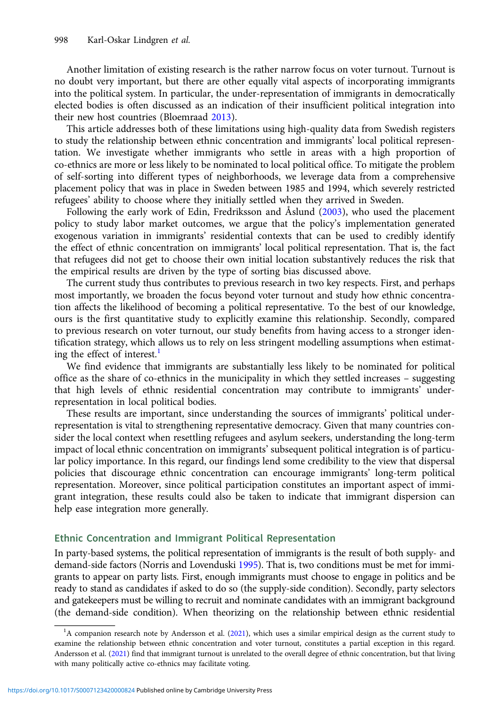Another limitation of existing research is the rather narrow focus on voter turnout. Turnout is no doubt very important, but there are other equally vital aspects of incorporating immigrants into the political system. In particular, the under-representation of immigrants in democratically elected bodies is often discussed as an indication of their insufficient political integration into their new host countries (Bloemraad [2013](#page-14-0)).

This article addresses both of these limitations using high-quality data from Swedish registers to study the relationship between ethnic concentration and immigrants' local political representation. We investigate whether immigrants who settle in areas with a high proportion of co-ethnics are more or less likely to be nominated to local political office. To mitigate the problem of self-sorting into different types of neighborhoods, we leverage data from a comprehensive placement policy that was in place in Sweden between 1985 and 1994, which severely restricted refugees' ability to choose where they initially settled when they arrived in Sweden.

Following the early work of Edin, Fredriksson and Åslund [\(2003\)](#page-15-0), who used the placement policy to study labor market outcomes, we argue that the policy's implementation generated exogenous variation in immigrants' residential contexts that can be used to credibly identify the effect of ethnic concentration on immigrants' local political representation. That is, the fact that refugees did not get to choose their own initial location substantively reduces the risk that the empirical results are driven by the type of sorting bias discussed above.

The current study thus contributes to previous research in two key respects. First, and perhaps most importantly, we broaden the focus beyond voter turnout and study how ethnic concentration affects the likelihood of becoming a political representative. To the best of our knowledge, ours is the first quantitative study to explicitly examine this relationship. Secondly, compared to previous research on voter turnout, our study benefits from having access to a stronger identification strategy, which allows us to rely on less stringent modelling assumptions when estimating the effect of interest. $\frac{1}{1}$ 

We find evidence that immigrants are substantially less likely to be nominated for political office as the share of co-ethnics in the municipality in which they settled increases – suggesting that high levels of ethnic residential concentration may contribute to immigrants' underrepresentation in local political bodies.

These results are important, since understanding the sources of immigrants' political underrepresentation is vital to strengthening representative democracy. Given that many countries consider the local context when resettling refugees and asylum seekers, understanding the long-term impact of local ethnic concentration on immigrants' subsequent political integration is of particular policy importance. In this regard, our findings lend some credibility to the view that dispersal policies that discourage ethnic concentration can encourage immigrants' long-term political representation. Moreover, since political participation constitutes an important aspect of immigrant integration, these results could also be taken to indicate that immigrant dispersion can help ease integration more generally.

# Ethnic Concentration and Immigrant Political Representation

In party-based systems, the political representation of immigrants is the result of both supply- and demand-side factors (Norris and Lovenduski [1995\)](#page-15-0). That is, two conditions must be met for immigrants to appear on party lists. First, enough immigrants must choose to engage in politics and be ready to stand as candidates if asked to do so (the supply-side condition). Secondly, party selectors and gatekeepers must be willing to recruit and nominate candidates with an immigrant background (the demand-side condition). When theorizing on the relationship between ethnic residential

<sup>&</sup>lt;sup>1</sup>A companion research note by Andersson et al. [\(2021](#page-14-0)), which uses a similar empirical design as the current study to examine the relationship between ethnic concentration and voter turnout, constitutes a partial exception in this regard. Andersson et al. [\(2021\)](#page-14-0) find that immigrant turnout is unrelated to the overall degree of ethnic concentration, but that living with many politically active co-ethnics may facilitate voting.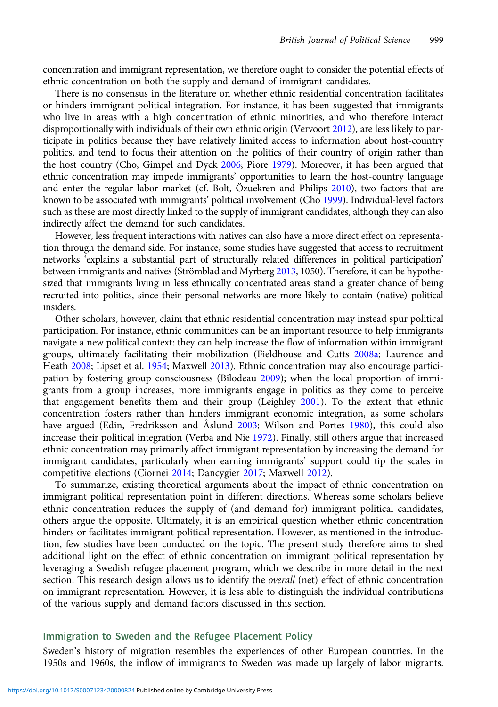concentration and immigrant representation, we therefore ought to consider the potential effects of ethnic concentration on both the supply and demand of immigrant candidates.

There is no consensus in the literature on whether ethnic residential concentration facilitates or hinders immigrant political integration. For instance, it has been suggested that immigrants who live in areas with a high concentration of ethnic minorities, and who therefore interact disproportionally with individuals of their own ethnic origin (Vervoort [2012\)](#page-15-0), are less likely to participate in politics because they have relatively limited access to information about host-country politics, and tend to focus their attention on the politics of their country of origin rather than the host country (Cho, Gimpel and Dyck [2006;](#page-14-0) Piore [1979\)](#page-15-0). Moreover, it has been argued that ethnic concentration may impede immigrants' opportunities to learn the host-country language and enter the regular labor market (cf. Bolt, Özuekren and Philips [2010\)](#page-14-0), two factors that are known to be associated with immigrants' political involvement (Cho [1999](#page-14-0)). Individual-level factors such as these are most directly linked to the supply of immigrant candidates, although they can also indirectly affect the demand for such candidates.

However, less frequent interactions with natives can also have a more direct effect on representation through the demand side. For instance, some studies have suggested that access to recruitment networks 'explains a substantial part of structurally related differences in political participation' between immigrants and natives (Strömblad and Myrberg [2013](#page-15-0), 1050). Therefore, it can be hypothesized that immigrants living in less ethnically concentrated areas stand a greater chance of being recruited into politics, since their personal networks are more likely to contain (native) political insiders.

Other scholars, however, claim that ethnic residential concentration may instead spur political participation. For instance, ethnic communities can be an important resource to help immigrants navigate a new political context: they can help increase the flow of information within immigrant groups, ultimately facilitating their mobilization (Fieldhouse and Cutts [2008a;](#page-15-0) Laurence and Heath [2008](#page-15-0); Lipset et al. [1954](#page-15-0); Maxwell [2013\)](#page-15-0). Ethnic concentration may also encourage participation by fostering group consciousness (Bilodeau [2009\)](#page-14-0); when the local proportion of immigrants from a group increases, more immigrants engage in politics as they come to perceive that engagement benefits them and their group (Leighley [2001\)](#page-15-0). To the extent that ethnic concentration fosters rather than hinders immigrant economic integration, as some scholars have argued (Edin, Fredriksson and Åslund [2003;](#page-15-0) Wilson and Portes [1980\)](#page-15-0), this could also increase their political integration (Verba and Nie [1972\)](#page-15-0). Finally, still others argue that increased ethnic concentration may primarily affect immigrant representation by increasing the demand for immigrant candidates, particularly when earning immigrants' support could tip the scales in competitive elections (Ciornei [2014;](#page-14-0) Dancygier [2017;](#page-14-0) Maxwell [2012\)](#page-15-0).

To summarize, existing theoretical arguments about the impact of ethnic concentration on immigrant political representation point in different directions. Whereas some scholars believe ethnic concentration reduces the supply of (and demand for) immigrant political candidates, others argue the opposite. Ultimately, it is an empirical question whether ethnic concentration hinders or facilitates immigrant political representation. However, as mentioned in the introduction, few studies have been conducted on the topic. The present study therefore aims to shed additional light on the effect of ethnic concentration on immigrant political representation by leveraging a Swedish refugee placement program, which we describe in more detail in the next section. This research design allows us to identify the *overall* (net) effect of ethnic concentration on immigrant representation. However, it is less able to distinguish the individual contributions of the various supply and demand factors discussed in this section.

## Immigration to Sweden and the Refugee Placement Policy

Sweden's history of migration resembles the experiences of other European countries. In the 1950s and 1960s, the inflow of immigrants to Sweden was made up largely of labor migrants.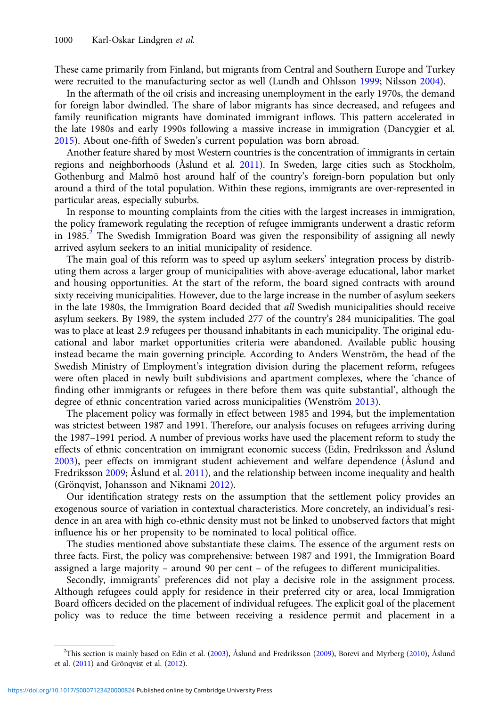These came primarily from Finland, but migrants from Central and Southern Europe and Turkey were recruited to the manufacturing sector as well (Lundh and Ohlsson [1999](#page-15-0); Nilsson [2004\)](#page-15-0).

In the aftermath of the oil crisis and increasing unemployment in the early 1970s, the demand for foreign labor dwindled. The share of labor migrants has since decreased, and refugees and family reunification migrants have dominated immigrant inflows. This pattern accelerated in the late 1980s and early 1990s following a massive increase in immigration (Dancygier et al. [2015\)](#page-15-0). About one-fifth of Sweden's current population was born abroad.

Another feature shared by most Western countries is the concentration of immigrants in certain regions and neighborhoods (Åslund et al. [2011\)](#page-14-0). In Sweden, large cities such as Stockholm, Gothenburg and Malmö host around half of the country's foreign-born population but only around a third of the total population. Within these regions, immigrants are over-represented in particular areas, especially suburbs.

In response to mounting complaints from the cities with the largest increases in immigration, the policy framework regulating the reception of refugee immigrants underwent a drastic reform in 1985.<sup>2</sup> The Swedish Immigration Board was given the responsibility of assigning all newly arrived asylum seekers to an initial municipality of residence.

The main goal of this reform was to speed up asylum seekers' integration process by distributing them across a larger group of municipalities with above-average educational, labor market and housing opportunities. At the start of the reform, the board signed contracts with around sixty receiving municipalities. However, due to the large increase in the number of asylum seekers in the late 1980s, the Immigration Board decided that all Swedish municipalities should receive asylum seekers. By 1989, the system included 277 of the country's 284 municipalities. The goal was to place at least 2.9 refugees per thousand inhabitants in each municipality. The original educational and labor market opportunities criteria were abandoned. Available public housing instead became the main governing principle. According to Anders Wenström, the head of the Swedish Ministry of Employment's integration division during the placement reform, refugees were often placed in newly built subdivisions and apartment complexes, where the 'chance of finding other immigrants or refugees in there before them was quite substantial', although the degree of ethnic concentration varied across municipalities (Wenström [2013\)](#page-15-0).

The placement policy was formally in effect between 1985 and 1994, but the implementation was strictest between 1987 and 1991. Therefore, our analysis focuses on refugees arriving during the 1987–1991 period. A number of previous works have used the placement reform to study the effects of ethnic concentration on immigrant economic success (Edin, Fredriksson and Åslund [2003\)](#page-15-0), peer effects on immigrant student achievement and welfare dependence (Åslund and Fredriksson [2009](#page-14-0); Åslund et al. [2011\)](#page-14-0), and the relationship between income inequality and health (Grönqvist, Johansson and Niknami [2012\)](#page-15-0).

Our identification strategy rests on the assumption that the settlement policy provides an exogenous source of variation in contextual characteristics. More concretely, an individual's residence in an area with high co-ethnic density must not be linked to unobserved factors that might influence his or her propensity to be nominated to local political office.

The studies mentioned above substantiate these claims. The essence of the argument rests on three facts. First, the policy was comprehensive: between 1987 and 1991, the Immigration Board assigned a large majority – around 90 per cent – of the refugees to different municipalities.

Secondly, immigrants' preferences did not play a decisive role in the assignment process. Although refugees could apply for residence in their preferred city or area, local Immigration Board officers decided on the placement of individual refugees. The explicit goal of the placement policy was to reduce the time between receiving a residence permit and placement in a

<sup>2</sup> This section is mainly based on Edin et al. [\(2003\)](#page-15-0), Åslund and Fredriksson [\(2009](#page-14-0)), Borevi and Myrberg [\(2010\)](#page-14-0), Åslund et al. ([2011](#page-14-0)) and Grönqvist et al. ([2012](#page-15-0)).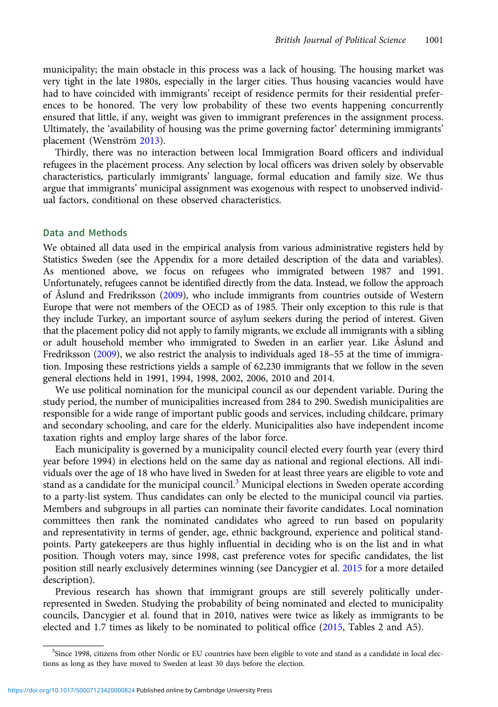municipality; the main obstacle in this process was a lack of housing. The housing market was very tight in the late 1980s, especially in the larger cities. Thus housing vacancies would have had to have coincided with immigrants' receipt of residence permits for their residential preferences to be honored. The very low probability of these two events happening concurrently ensured that little, if any, weight was given to immigrant preferences in the assignment process. Ultimately, the 'availability of housing was the prime governing factor' determining immigrants' placement (Wenström [2013](#page-15-0)).

Thirdly, there was no interaction between local Immigration Board officers and individual refugees in the placement process. Any selection by local officers was driven solely by observable characteristics, particularly immigrants' language, formal education and family size. We thus argue that immigrants' municipal assignment was exogenous with respect to unobserved individual factors, conditional on these observed characteristics.

## Data and Methods

We obtained all data used in the empirical analysis from various administrative registers held by Statistics Sweden (see the Appendix for a more detailed description of the data and variables). As mentioned above, we focus on refugees who immigrated between 1987 and 1991. Unfortunately, refugees cannot be identified directly from the data. Instead, we follow the approach of Åslund and Fredriksson ([2009\)](#page-14-0), who include immigrants from countries outside of Western Europe that were not members of the OECD as of 1985. Their only exception to this rule is that they include Turkey, an important source of asylum seekers during the period of interest. Given that the placement policy did not apply to family migrants, we exclude all immigrants with a sibling or adult household member who immigrated to Sweden in an earlier year. Like Åslund and Fredriksson [\(2009](#page-14-0)), we also restrict the analysis to individuals aged 18–55 at the time of immigration. Imposing these restrictions yields a sample of 62,230 immigrants that we follow in the seven general elections held in 1991, 1994, 1998, 2002, 2006, 2010 and 2014.

We use political nomination for the municipal council as our dependent variable. During the study period, the number of municipalities increased from 284 to 290. Swedish municipalities are responsible for a wide range of important public goods and services, including childcare, primary and secondary schooling, and care for the elderly. Municipalities also have independent income taxation rights and employ large shares of the labor force.

Each municipality is governed by a municipality council elected every fourth year (every third year before 1994) in elections held on the same day as national and regional elections. All individuals over the age of 18 who have lived in Sweden for at least three years are eligible to vote and stand as a candidate for the municipal council. $3$  Municipal elections in Sweden operate according to a party-list system. Thus candidates can only be elected to the municipal council via parties. Members and subgroups in all parties can nominate their favorite candidates. Local nomination committees then rank the nominated candidates who agreed to run based on popularity and representativity in terms of gender, age, ethnic background, experience and political standpoints. Party gatekeepers are thus highly influential in deciding who is on the list and in what position. Though voters may, since 1998, cast preference votes for specific candidates, the list position still nearly exclusively determines winning (see Dancygier et al. [2015](#page-15-0) for a more detailed description).

Previous research has shown that immigrant groups are still severely politically underrepresented in Sweden. Studying the probability of being nominated and elected to municipality councils, Dancygier et al. found that in 2010, natives were twice as likely as immigrants to be elected and 1.7 times as likely to be nominated to political office ([2015](#page-15-0), Tables 2 and A5).

<sup>&</sup>lt;sup>3</sup>Since 1998, citizens from other Nordic or EU countries have been eligible to vote and stand as a candidate in local elections as long as they have moved to Sweden at least 30 days before the election.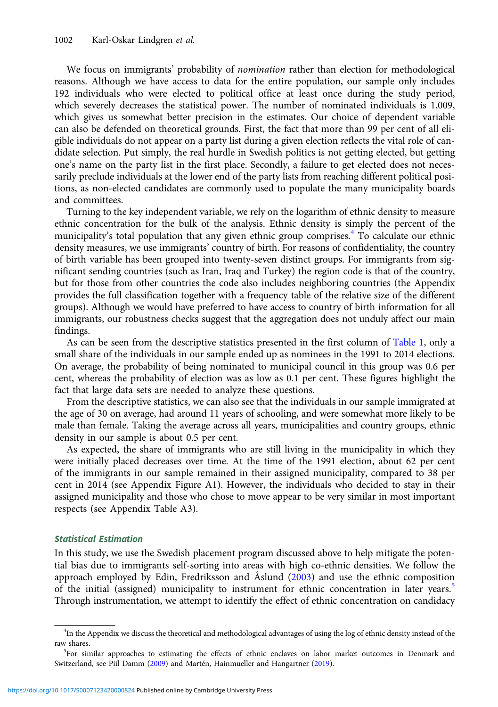We focus on immigrants' probability of *nomination* rather than election for methodological reasons. Although we have access to data for the entire population, our sample only includes 192 individuals who were elected to political office at least once during the study period, which severely decreases the statistical power. The number of nominated individuals is 1,009, which gives us somewhat better precision in the estimates. Our choice of dependent variable can also be defended on theoretical grounds. First, the fact that more than 99 per cent of all eligible individuals do not appear on a party list during a given election reflects the vital role of candidate selection. Put simply, the real hurdle in Swedish politics is not getting elected, but getting one's name on the party list in the first place. Secondly, a failure to get elected does not necessarily preclude individuals at the lower end of the party lists from reaching different political positions, as non-elected candidates are commonly used to populate the many municipality boards and committees.

Turning to the key independent variable, we rely on the logarithm of ethnic density to measure ethnic concentration for the bulk of the analysis. Ethnic density is simply the percent of the municipality's total population that any given ethnic group comprises.<sup>4</sup> To calculate our ethnic density measures, we use immigrants' country of birth. For reasons of confidentiality, the country of birth variable has been grouped into twenty-seven distinct groups. For immigrants from significant sending countries (such as Iran, Iraq and Turkey) the region code is that of the country, but for those from other countries the code also includes neighboring countries (the Appendix provides the full classification together with a frequency table of the relative size of the different groups). Although we would have preferred to have access to country of birth information for all immigrants, our robustness checks suggest that the aggregation does not unduly affect our main findings.

As can be seen from the descriptive statistics presented in the first column of [Table 1,](#page-6-0) only a small share of the individuals in our sample ended up as nominees in the 1991 to 2014 elections. On average, the probability of being nominated to municipal council in this group was 0.6 per cent, whereas the probability of election was as low as 0.1 per cent. These figures highlight the fact that large data sets are needed to analyze these questions.

From the descriptive statistics, we can also see that the individuals in our sample immigrated at the age of 30 on average, had around 11 years of schooling, and were somewhat more likely to be male than female. Taking the average across all years, municipalities and country groups, ethnic density in our sample is about 0.5 per cent.

As expected, the share of immigrants who are still living in the municipality in which they were initially placed decreases over time. At the time of the 1991 election, about 62 per cent of the immigrants in our sample remained in their assigned municipality, compared to 38 per cent in 2014 (see Appendix Figure A1). However, the individuals who decided to stay in their assigned municipality and those who chose to move appear to be very similar in most important respects (see Appendix Table A3).

## Statistical Estimation

In this study, we use the Swedish placement program discussed above to help mitigate the potential bias due to immigrants self-sorting into areas with high co-ethnic densities. We follow the approach employed by Edin, Fredriksson and Åslund ([2003](#page-15-0)) and use the ethnic composition of the initial (assigned) municipality to instrument for ethnic concentration in later years.<sup>5</sup> Through instrumentation, we attempt to identify the effect of ethnic concentration on candidacy

<sup>&</sup>lt;sup>4</sup>In the Appendix we discuss the theoretical and methodological advantages of using the log of ethnic density instead of the raw shares. <sup>5</sup>

<sup>&</sup>lt;sup>5</sup>For similar approaches to estimating the effects of ethnic enclaves on labor market outcomes in Denmark and Switzerland, see Piil Damm ([2009\)](#page-15-0) and Martén, Hainmueller and Hangartner [\(2019\)](#page-15-0).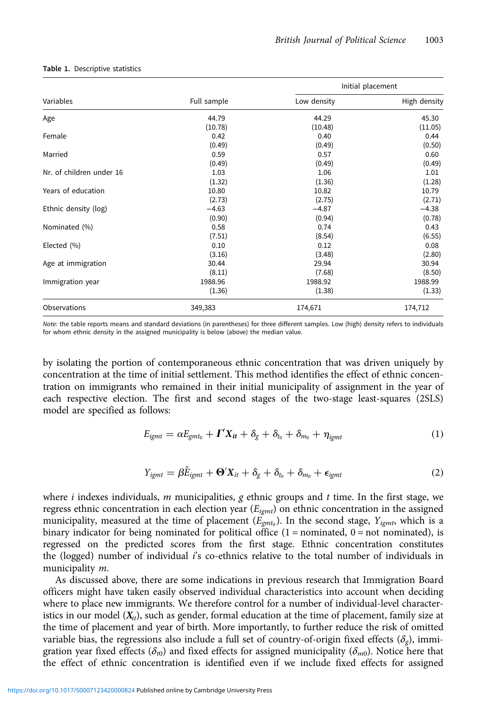| Variables                |             | Initial placement |              |  |
|--------------------------|-------------|-------------------|--------------|--|
|                          | Full sample | Low density       | High density |  |
| Age                      | 44.79       | 44.29             | 45.30        |  |
|                          | (10.78)     | (10.48)           | (11.05)      |  |
| Female                   | 0.42        | 0.40              | 0.44         |  |
|                          | (0.49)      | (0.49)            | (0.50)       |  |
| Married                  | 0.59        | 0.57              | 0.60         |  |
|                          | (0.49)      | (0.49)            | (0.49)       |  |
| Nr. of children under 16 | 1.03        | 1.06              | 1.01         |  |
|                          | (1.32)      | (1.36)            | (1.28)       |  |
| Years of education       | 10.80       | 10.82             | 10.79        |  |
|                          | (2.73)      | (2.75)            | (2.71)       |  |
| Ethnic density (log)     | $-4.63$     | $-4.87$           | $-4.38$      |  |
|                          | (0.90)      | (0.94)            | (0.78)       |  |
| Nominated (%)            | 0.58        | 0.74              | 0.43         |  |
|                          | (7.51)      | (8.54)            | (6.55)       |  |
| Elected (%)              | 0.10        | 0.12              | 0.08         |  |
|                          | (3.16)      | (3.48)            | (2.80)       |  |
| Age at immigration       | 30.44       | 29.94             | 30.94        |  |
|                          | (8.11)      | (7.68)            | (8.50)       |  |
| Immigration year         | 1988.96     | 1988.92           | 1988.99      |  |
|                          | (1.36)      | (1.38)            | (1.33)       |  |
| Observations             | 349,383     | 174,671           | 174,712      |  |

#### <span id="page-6-0"></span>Table 1. Descriptive statistics

Note: the table reports means and standard deviations (in parentheses) for three different samples. Low (high) density refers to individuals for whom ethnic density in the assigned municipality is below (above) the median value.

by isolating the portion of contemporaneous ethnic concentration that was driven uniquely by concentration at the time of initial settlement. This method identifies the effect of ethnic concentration on immigrants who remained in their initial municipality of assignment in the year of each respective election. The first and second stages of the two-stage least-squares (2SLS) model are specified as follows:

$$
E_{igmt} = \alpha E_{gmt_0} + \boldsymbol{\Gamma} \boldsymbol{X_{it}} + \delta_g + \delta_{t_0} + \delta_{m_0} + \eta_{igmt}
$$
\n(1)

$$
Y_{\text{igmt}} = \beta \hat{E}_{\text{igmt}} + \mathbf{\Theta}' \mathbf{X}_{it} + \delta_{g} + \delta_{t_{0}} + \delta_{m_{0}} + \epsilon_{\text{igmt}} \tag{2}
$$

where *i* indexes individuals, *m* municipalities, *g* ethnic groups and *t* time. In the first stage, we regress ethnic concentration in each election year  $(E_{igm})$  on ethnic concentration in the assigned municipality, measured at the time of placement ( $E_{emt_0}$ ). In the second stage,  $Y_{iemt}$ , which is a binary indicator for being nominated for political office  $(1 =$  nominated,  $0 =$  not nominated), is regressed on the predicted scores from the first stage. Ethnic concentration constitutes the (logged) number of individual  $i$ 's co-ethnics relative to the total number of individuals in municipality *m*.

As discussed above, there are some indications in previous research that Immigration Board officers might have taken easily observed individual characteristics into account when deciding where to place new immigrants. We therefore control for a number of individual-level characteristics in our model  $(X_{it})$ , such as gender, formal education at the time of placement, family size at the time of placement and year of birth. More importantly, to further reduce the risk of omitted variable bias, the regressions also include a full set of country-of-origin fixed effects ( $\delta_{\varrho}$ ), immigration year fixed effects ( $\delta_{00}$ ) and fixed effects for assigned municipality ( $\delta_{m0}$ ). Notice here that the effect of ethnic concentration is identified even if we include fixed effects for assigned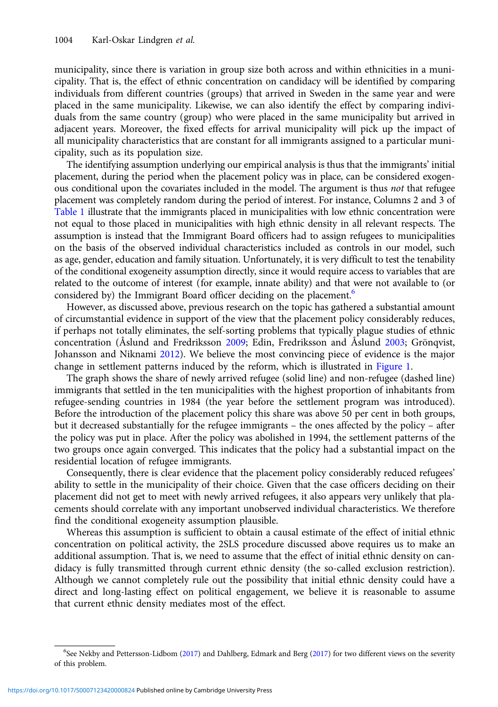municipality, since there is variation in group size both across and within ethnicities in a municipality. That is, the effect of ethnic concentration on candidacy will be identified by comparing individuals from different countries (groups) that arrived in Sweden in the same year and were placed in the same municipality. Likewise, we can also identify the effect by comparing individuals from the same country (group) who were placed in the same municipality but arrived in adjacent years. Moreover, the fixed effects for arrival municipality will pick up the impact of all municipality characteristics that are constant for all immigrants assigned to a particular municipality, such as its population size.

The identifying assumption underlying our empirical analysis is thus that the immigrants' initial placement, during the period when the placement policy was in place, can be considered exogenous conditional upon the covariates included in the model. The argument is thus *not* that refugee placement was completely random during the period of interest. For instance, Columns 2 and 3 of [Table 1](#page-6-0) illustrate that the immigrants placed in municipalities with low ethnic concentration were not equal to those placed in municipalities with high ethnic density in all relevant respects. The assumption is instead that the Immigrant Board officers had to assign refugees to municipalities on the basis of the observed individual characteristics included as controls in our model, such as age, gender, education and family situation. Unfortunately, it is very difficult to test the tenability of the conditional exogeneity assumption directly, since it would require access to variables that are related to the outcome of interest (for example, innate ability) and that were not available to (or considered by) the Immigrant Board officer deciding on the placement.<sup>6</sup>

However, as discussed above, previous research on the topic has gathered a substantial amount of circumstantial evidence in support of the view that the placement policy considerably reduces, if perhaps not totally eliminates, the self-sorting problems that typically plague studies of ethnic concentration (Åslund and Fredriksson [2009](#page-14-0); Edin, Fredriksson and Åslund [2003](#page-15-0); Grönqvist, Johansson and Niknami [2012](#page-15-0)). We believe the most convincing piece of evidence is the major change in settlement patterns induced by the reform, which is illustrated in [Figure 1.](#page-8-0)

The graph shows the share of newly arrived refugee (solid line) and non-refugee (dashed line) immigrants that settled in the ten municipalities with the highest proportion of inhabitants from refugee-sending countries in 1984 (the year before the settlement program was introduced). Before the introduction of the placement policy this share was above 50 per cent in both groups, but it decreased substantially for the refugee immigrants – the ones affected by the policy – after the policy was put in place. After the policy was abolished in 1994, the settlement patterns of the two groups once again converged. This indicates that the policy had a substantial impact on the residential location of refugee immigrants.

Consequently, there is clear evidence that the placement policy considerably reduced refugees' ability to settle in the municipality of their choice. Given that the case officers deciding on their placement did not get to meet with newly arrived refugees, it also appears very unlikely that placements should correlate with any important unobserved individual characteristics. We therefore find the conditional exogeneity assumption plausible.

Whereas this assumption is sufficient to obtain a causal estimate of the effect of initial ethnic concentration on political activity, the 2SLS procedure discussed above requires us to make an additional assumption. That is, we need to assume that the effect of initial ethnic density on candidacy is fully transmitted through current ethnic density (the so-called exclusion restriction). Although we cannot completely rule out the possibility that initial ethnic density could have a direct and long-lasting effect on political engagement, we believe it is reasonable to assume that current ethnic density mediates most of the effect.

<sup>6</sup> See Nekby and Pettersson-Lidbom ([2017](#page-15-0)) and Dahlberg, Edmark and Berg ([2017](#page-14-0)) for two different views on the severity of this problem.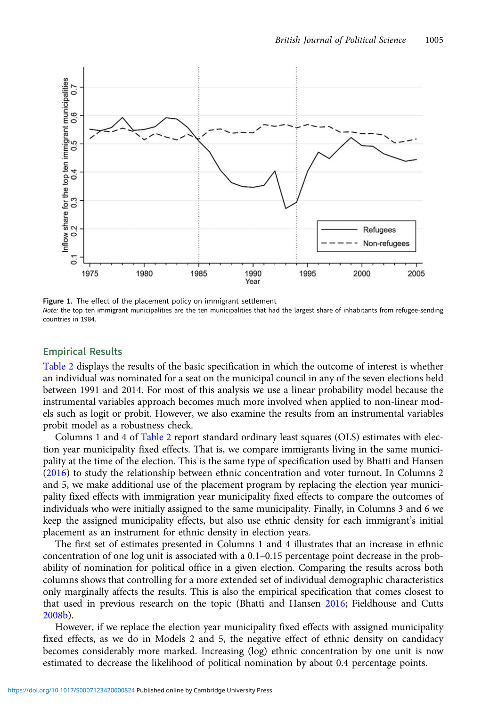<span id="page-8-0"></span>

Figure 1. The effect of the placement policy on immigrant settlement Note: the top ten immigrant municipalities are the ten municipalities that had the largest share of inhabitants from refugee-sending countries in 1984.

## Empirical Results

[Table 2](#page-9-0) displays the results of the basic specification in which the outcome of interest is whether an individual was nominated for a seat on the municipal council in any of the seven elections held between 1991 and 2014. For most of this analysis we use a linear probability model because the instrumental variables approach becomes much more involved when applied to non-linear models such as logit or probit. However, we also examine the results from an instrumental variables probit model as a robustness check.

Columns 1 and 4 of [Table 2](#page-9-0) report standard ordinary least squares (OLS) estimates with election year municipality fixed effects. That is, we compare immigrants living in the same municipality at the time of the election. This is the same type of specification used by Bhatti and Hansen [\(2016\)](#page-14-0) to study the relationship between ethnic concentration and voter turnout. In Columns 2 and 5, we make additional use of the placement program by replacing the election year municipality fixed effects with immigration year municipality fixed effects to compare the outcomes of individuals who were initially assigned to the same municipality. Finally, in Columns 3 and 6 we keep the assigned municipality effects, but also use ethnic density for each immigrant's initial placement as an instrument for ethnic density in election years.

The first set of estimates presented in Columns 1 and 4 illustrates that an increase in ethnic concentration of one log unit is associated with a 0.1–0.15 percentage point decrease in the probability of nomination for political office in a given election. Comparing the results across both columns shows that controlling for a more extended set of individual demographic characteristics only marginally affects the results. This is also the empirical specification that comes closest to that used in previous research on the topic (Bhatti and Hansen [2016](#page-14-0); Fieldhouse and Cutts [2008b](#page-15-0)).

However, if we replace the election year municipality fixed effects with assigned municipality fixed effects, as we do in Models 2 and 5, the negative effect of ethnic density on candidacy becomes considerably more marked. Increasing (log) ethnic concentration by one unit is now estimated to decrease the likelihood of political nomination by about 0.4 percentage points.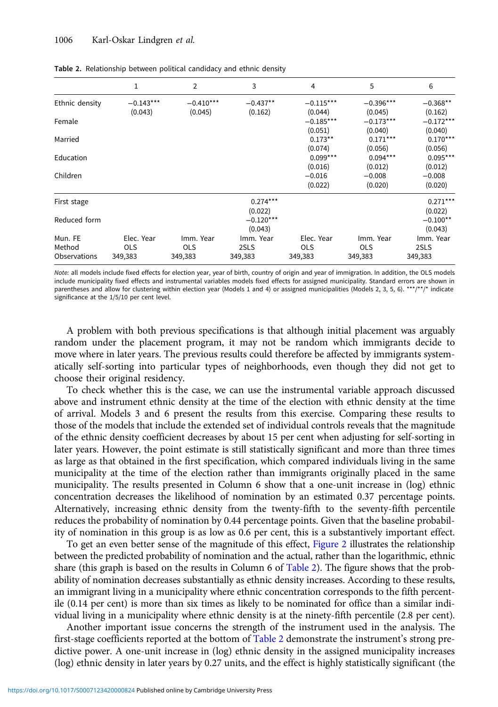|                | 1           | $\overline{2}$ | 3           | $\overline{4}$ | 5           | 6           |
|----------------|-------------|----------------|-------------|----------------|-------------|-------------|
| Ethnic density | $-0.143***$ | $-0.410***$    | $-0.437**$  | $-0.115***$    | $-0.396***$ | $-0.368**$  |
|                | (0.043)     | (0.045)        | (0.162)     | (0.044)        | (0.045)     | (0.162)     |
| Female         |             |                |             | $-0.185***$    | $-0.173***$ | $-0.172***$ |
|                |             |                |             | (0.051)        | (0.040)     | (0.040)     |
| Married        |             |                |             | $0.173**$      | $0.171***$  | $0.170***$  |
|                |             |                |             | (0.074)        | (0.056)     | (0.056)     |
| Education      |             |                |             | $0.099***$     | $0.094***$  | $0.095***$  |
|                |             |                |             | (0.016)        | (0.012)     | (0.012)     |
| Children       |             |                |             | $-0.016$       | $-0.008$    | $-0.008$    |
|                |             |                |             | (0.022)        | (0.020)     | (0.020)     |
| First stage    |             |                | $0.274***$  |                |             | $0.271***$  |
|                |             |                | (0.022)     |                |             | (0.022)     |
| Reduced form   |             |                | $-0.120***$ |                |             | $-0.100**$  |
|                |             |                | (0.043)     |                |             | (0.043)     |
| Mun. FE        | Elec. Year  | Imm. Year      | Imm. Year   | Elec. Year     | Imm. Year   | Imm. Year   |
| Method         | <b>OLS</b>  | <b>OLS</b>     | 2SLS        | <b>OLS</b>     | <b>OLS</b>  | 2SLS        |
| Observations   | 349,383     | 349,383        | 349,383     | 349,383        | 349,383     | 349,383     |

<span id="page-9-0"></span>Table 2. Relationship between political candidacy and ethnic density

Note: all models include fixed effects for election year, year of birth, country of origin and year of immigration. In addition, the OLS models include municipality fixed effects and instrumental variables models fixed effects for assigned municipality. Standard errors are shown in parentheses and allow for clustering within election year (Models 1 and 4) or assigned municipalities (Models 2, 3, 5, 6). \*\*\*/\*/\* indicate significance at the 1/5/10 per cent level.

A problem with both previous specifications is that although initial placement was arguably random under the placement program, it may not be random which immigrants decide to move where in later years. The previous results could therefore be affected by immigrants systematically self-sorting into particular types of neighborhoods, even though they did not get to choose their original residency.

To check whether this is the case, we can use the instrumental variable approach discussed above and instrument ethnic density at the time of the election with ethnic density at the time of arrival. Models 3 and 6 present the results from this exercise. Comparing these results to those of the models that include the extended set of individual controls reveals that the magnitude of the ethnic density coefficient decreases by about 15 per cent when adjusting for self-sorting in later years. However, the point estimate is still statistically significant and more than three times as large as that obtained in the first specification, which compared individuals living in the same municipality at the time of the election rather than immigrants originally placed in the same municipality. The results presented in Column 6 show that a one-unit increase in (log) ethnic concentration decreases the likelihood of nomination by an estimated 0.37 percentage points. Alternatively, increasing ethnic density from the twenty-fifth to the seventy-fifth percentile reduces the probability of nomination by 0.44 percentage points. Given that the baseline probability of nomination in this group is as low as 0.6 per cent, this is a substantively important effect.

To get an even better sense of the magnitude of this effect, [Figure 2](#page-10-0) illustrates the relationship between the predicted probability of nomination and the actual, rather than the logarithmic, ethnic share (this graph is based on the results in Column 6 of Table 2). The figure shows that the probability of nomination decreases substantially as ethnic density increases. According to these results, an immigrant living in a municipality where ethnic concentration corresponds to the fifth percentile (0.14 per cent) is more than six times as likely to be nominated for office than a similar individual living in a municipality where ethnic density is at the ninety-fifth percentile (2.8 per cent).

Another important issue concerns the strength of the instrument used in the analysis. The first-stage coefficients reported at the bottom of Table 2 demonstrate the instrument's strong predictive power. A one-unit increase in (log) ethnic density in the assigned municipality increases (log) ethnic density in later years by 0.27 units, and the effect is highly statistically significant (the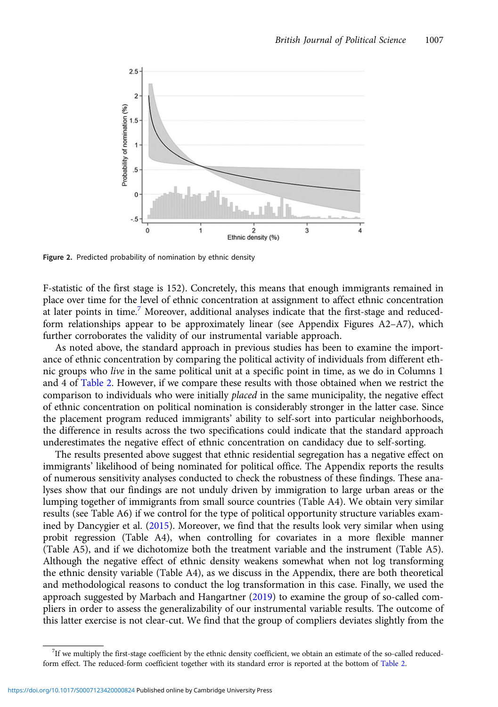<span id="page-10-0"></span>

Figure 2. Predicted probability of nomination by ethnic density

F-statistic of the first stage is 152). Concretely, this means that enough immigrants remained in place over time for the level of ethnic concentration at assignment to affect ethnic concentration at later points in time.<sup>7</sup> Moreover, additional analyses indicate that the first-stage and reducedform relationships appear to be approximately linear (see Appendix Figures A2–A7), which further corroborates the validity of our instrumental variable approach.

As noted above, the standard approach in previous studies has been to examine the importance of ethnic concentration by comparing the political activity of individuals from different ethnic groups who live in the same political unit at a specific point in time, as we do in Columns 1 and 4 of [Table 2](#page-9-0). However, if we compare these results with those obtained when we restrict the comparison to individuals who were initially *placed* in the same municipality, the negative effect of ethnic concentration on political nomination is considerably stronger in the latter case. Since the placement program reduced immigrants' ability to self-sort into particular neighborhoods, the difference in results across the two specifications could indicate that the standard approach underestimates the negative effect of ethnic concentration on candidacy due to self-sorting.

The results presented above suggest that ethnic residential segregation has a negative effect on immigrants' likelihood of being nominated for political office. The Appendix reports the results of numerous sensitivity analyses conducted to check the robustness of these findings. These analyses show that our findings are not unduly driven by immigration to large urban areas or the lumping together of immigrants from small source countries (Table A4). We obtain very similar results (see Table A6) if we control for the type of political opportunity structure variables examined by Dancygier et al. ([2015](#page-15-0)). Moreover, we find that the results look very similar when using probit regression (Table A4), when controlling for covariates in a more flexible manner (Table A5), and if we dichotomize both the treatment variable and the instrument (Table A5). Although the negative effect of ethnic density weakens somewhat when not log transforming the ethnic density variable (Table A4), as we discuss in the Appendix, there are both theoretical and methodological reasons to conduct the log transformation in this case. Finally, we used the approach suggested by Marbach and Hangartner [\(2019\)](#page-15-0) to examine the group of so-called compliers in order to assess the generalizability of our instrumental variable results. The outcome of this latter exercise is not clear-cut. We find that the group of compliers deviates slightly from the

<sup>&</sup>lt;sup>7</sup>If we multiply the first-stage coefficient by the ethnic density coefficient, we obtain an estimate of the so-called reducedform effect. The reduced-form coefficient together with its standard error is reported at the bottom of [Table 2](#page-9-0).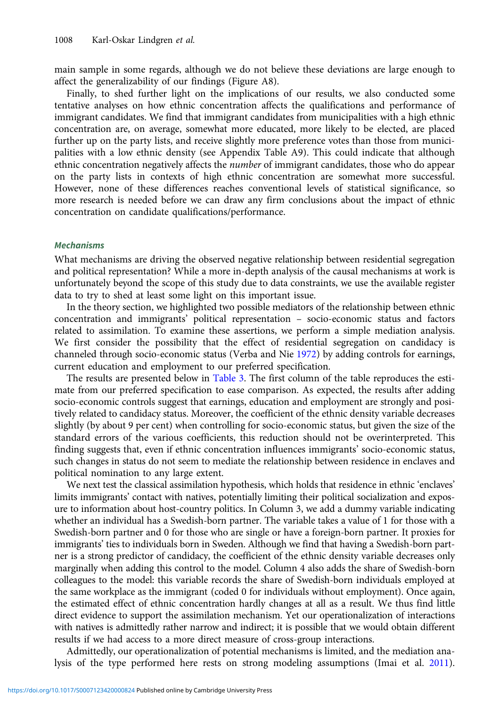main sample in some regards, although we do not believe these deviations are large enough to affect the generalizability of our findings (Figure A8).

Finally, to shed further light on the implications of our results, we also conducted some tentative analyses on how ethnic concentration affects the qualifications and performance of immigrant candidates. We find that immigrant candidates from municipalities with a high ethnic concentration are, on average, somewhat more educated, more likely to be elected, are placed further up on the party lists, and receive slightly more preference votes than those from municipalities with a low ethnic density (see Appendix Table A9). This could indicate that although ethnic concentration negatively affects the number of immigrant candidates, those who do appear on the party lists in contexts of high ethnic concentration are somewhat more successful. However, none of these differences reaches conventional levels of statistical significance, so more research is needed before we can draw any firm conclusions about the impact of ethnic concentration on candidate qualifications/performance.

#### Mechanisms

What mechanisms are driving the observed negative relationship between residential segregation and political representation? While a more in-depth analysis of the causal mechanisms at work is unfortunately beyond the scope of this study due to data constraints, we use the available register data to try to shed at least some light on this important issue.

In the theory section, we highlighted two possible mediators of the relationship between ethnic concentration and immigrants' political representation – socio-economic status and factors related to assimilation. To examine these assertions, we perform a simple mediation analysis. We first consider the possibility that the effect of residential segregation on candidacy is channeled through socio-economic status (Verba and Nie [1972](#page-15-0)) by adding controls for earnings, current education and employment to our preferred specification.

The results are presented below in [Table 3.](#page-12-0) The first column of the table reproduces the estimate from our preferred specification to ease comparison. As expected, the results after adding socio-economic controls suggest that earnings, education and employment are strongly and positively related to candidacy status. Moreover, the coefficient of the ethnic density variable decreases slightly (by about 9 per cent) when controlling for socio-economic status, but given the size of the standard errors of the various coefficients, this reduction should not be overinterpreted. This finding suggests that, even if ethnic concentration influences immigrants' socio-economic status, such changes in status do not seem to mediate the relationship between residence in enclaves and political nomination to any large extent.

We next test the classical assimilation hypothesis, which holds that residence in ethnic 'enclaves' limits immigrants' contact with natives, potentially limiting their political socialization and exposure to information about host-country politics. In Column 3, we add a dummy variable indicating whether an individual has a Swedish-born partner. The variable takes a value of 1 for those with a Swedish-born partner and 0 for those who are single or have a foreign-born partner. It proxies for immigrants' ties to individuals born in Sweden. Although we find that having a Swedish-born partner is a strong predictor of candidacy, the coefficient of the ethnic density variable decreases only marginally when adding this control to the model. Column 4 also adds the share of Swedish-born colleagues to the model: this variable records the share of Swedish-born individuals employed at the same workplace as the immigrant (coded 0 for individuals without employment). Once again, the estimated effect of ethnic concentration hardly changes at all as a result. We thus find little direct evidence to support the assimilation mechanism. Yet our operationalization of interactions with natives is admittedly rather narrow and indirect; it is possible that we would obtain different results if we had access to a more direct measure of cross-group interactions.

Admittedly, our operationalization of potential mechanisms is limited, and the mediation analysis of the type performed here rests on strong modeling assumptions (Imai et al. [2011\)](#page-15-0).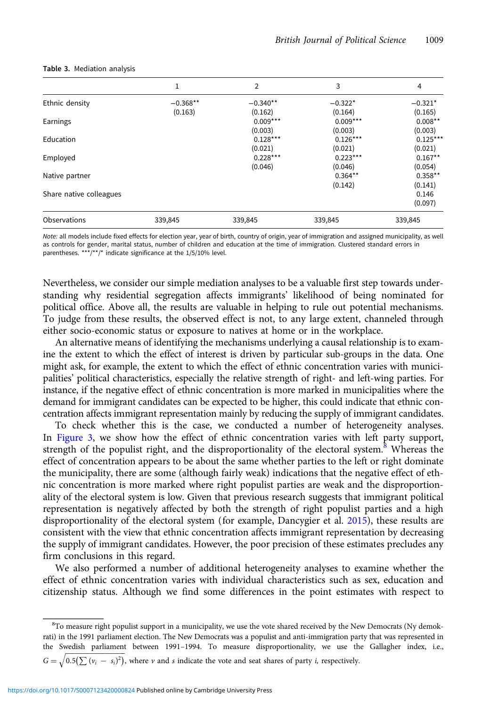|                         | 1          | 2          | 3          | 4          |
|-------------------------|------------|------------|------------|------------|
| Ethnic density          | $-0.368**$ | $-0.340**$ | $-0.322*$  | $-0.321*$  |
|                         | (0.163)    | (0.162)    | (0.164)    | (0.165)    |
| Earnings                |            | $0.009***$ | $0.009***$ | $0.008**$  |
|                         |            | (0.003)    | (0.003)    | (0.003)    |
| Education               |            | $0.128***$ | $0.126***$ | $0.125***$ |
|                         |            | (0.021)    | (0.021)    | (0.021)    |
| Employed                |            | $0.228***$ | $0.223***$ | $0.167**$  |
|                         |            | (0.046)    | (0.046)    | (0.054)    |
| Native partner          |            |            | $0.364***$ | $0.358**$  |
|                         |            |            | (0.142)    | (0.141)    |
| Share native colleagues |            |            |            | 0.146      |
|                         |            |            |            | (0.097)    |
| Observations            | 339,845    | 339,845    | 339,845    | 339,845    |
|                         |            |            |            |            |

#### <span id="page-12-0"></span>Table 3. Mediation analysis

Note: all models include fixed effects for election year, year of birth, country of origin, year of immigration and assigned municipality, as well as controls for gender, marital status, number of children and education at the time of immigration. Clustered standard errors in parentheses. \*\*\*/\*\*/\* indicate significance at the 1/5/10% level.

Nevertheless, we consider our simple mediation analyses to be a valuable first step towards understanding why residential segregation affects immigrants' likelihood of being nominated for political office. Above all, the results are valuable in helping to rule out potential mechanisms. To judge from these results, the observed effect is not, to any large extent, channeled through either socio-economic status or exposure to natives at home or in the workplace.

An alternative means of identifying the mechanisms underlying a causal relationship is to examine the extent to which the effect of interest is driven by particular sub-groups in the data. One might ask, for example, the extent to which the effect of ethnic concentration varies with municipalities' political characteristics, especially the relative strength of right- and left-wing parties. For instance, if the negative effect of ethnic concentration is more marked in municipalities where the demand for immigrant candidates can be expected to be higher, this could indicate that ethnic concentration affects immigrant representation mainly by reducing the supply of immigrant candidates.

To check whether this is the case, we conducted a number of heterogeneity analyses. In [Figure 3,](#page-13-0) we show how the effect of ethnic concentration varies with left party support, strength of the populist right, and the disproportionality of the electoral system.<sup>8</sup> Whereas the effect of concentration appears to be about the same whether parties to the left or right dominate the municipality, there are some (although fairly weak) indications that the negative effect of ethnic concentration is more marked where right populist parties are weak and the disproportionality of the electoral system is low. Given that previous research suggests that immigrant political representation is negatively affected by both the strength of right populist parties and a high disproportionality of the electoral system (for example, Dancygier et al. [2015\)](#page-15-0), these results are consistent with the view that ethnic concentration affects immigrant representation by decreasing the supply of immigrant candidates. However, the poor precision of these estimates precludes any firm conclusions in this regard.

We also performed a number of additional heterogeneity analyses to examine whether the effect of ethnic concentration varies with individual characteristics such as sex, education and citizenship status. Although we find some differences in the point estimates with respect to

<sup>&</sup>lt;sup>8</sup>To measure right populist support in a municipality, we use the vote shared received by the New Democrats (Ny demokrati) in the 1991 parliament election. The New Democrats was a populist and anti-immigration party that was represented in the Swedish parliament between 1991-1994. To measure disproportionality, we use the Gallagher index, i.e.,  $G = \sqrt{0.5(\sum (v_i - s_i)^2)}$ , where v and s indicate the vote and seat shares of party *i*, respectively.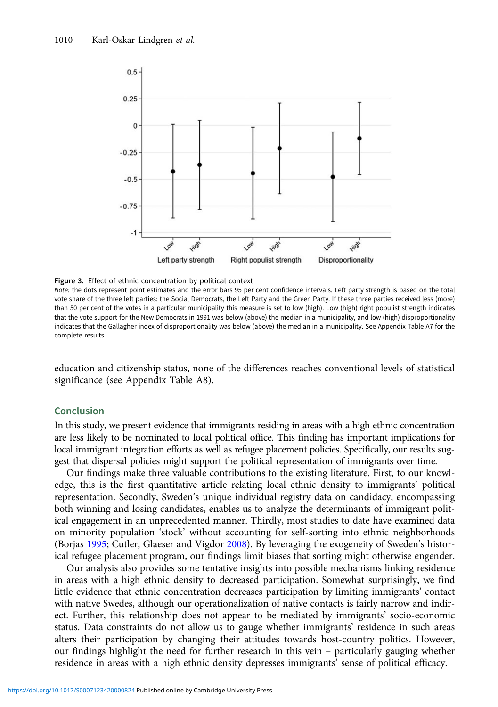<span id="page-13-0"></span>

Figure 3. Effect of ethnic concentration by political context

Note: the dots represent point estimates and the error bars 95 per cent confidence intervals. Left party strength is based on the total vote share of the three left parties: the Social Democrats, the Left Party and the Green Party. If these three parties received less (more) than 50 per cent of the votes in a particular municipality this measure is set to low (high). Low (high) right populist strength indicates that the vote support for the New Democrats in 1991 was below (above) the median in a municipality, and low (high) disproportionality indicates that the Gallagher index of disproportionality was below (above) the median in a municipality. See Appendix Table A7 for the complete results.

education and citizenship status, none of the differences reaches conventional levels of statistical significance (see Appendix Table A8).

## Conclusion

In this study, we present evidence that immigrants residing in areas with a high ethnic concentration are less likely to be nominated to local political office. This finding has important implications for local immigrant integration efforts as well as refugee placement policies. Specifically, our results suggest that dispersal policies might support the political representation of immigrants over time.

Our findings make three valuable contributions to the existing literature. First, to our knowledge, this is the first quantitative article relating local ethnic density to immigrants' political representation. Secondly, Sweden's unique individual registry data on candidacy, encompassing both winning and losing candidates, enables us to analyze the determinants of immigrant political engagement in an unprecedented manner. Thirdly, most studies to date have examined data on minority population 'stock' without accounting for self-sorting into ethnic neighborhoods (Borjas [1995;](#page-14-0) Cutler, Glaeser and Vigdor [2008](#page-14-0)). By leveraging the exogeneity of Sweden's historical refugee placement program, our findings limit biases that sorting might otherwise engender.

Our analysis also provides some tentative insights into possible mechanisms linking residence in areas with a high ethnic density to decreased participation. Somewhat surprisingly, we find little evidence that ethnic concentration decreases participation by limiting immigrants' contact with native Swedes, although our operationalization of native contacts is fairly narrow and indirect. Further, this relationship does not appear to be mediated by immigrants' socio-economic status. Data constraints do not allow us to gauge whether immigrants' residence in such areas alters their participation by changing their attitudes towards host-country politics. However, our findings highlight the need for further research in this vein – particularly gauging whether residence in areas with a high ethnic density depresses immigrants' sense of political efficacy.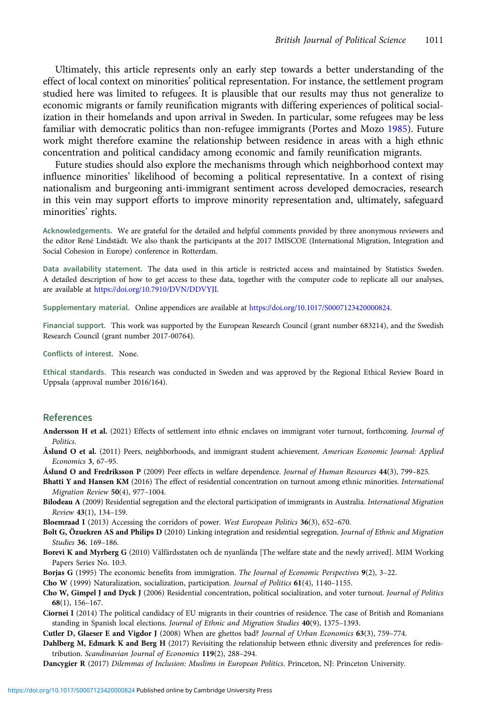<span id="page-14-0"></span>Ultimately, this article represents only an early step towards a better understanding of the effect of local context on minorities' political representation. For instance, the settlement program studied here was limited to refugees. It is plausible that our results may thus not generalize to economic migrants or family reunification migrants with differing experiences of political socialization in their homelands and upon arrival in Sweden. In particular, some refugees may be less familiar with democratic politics than non-refugee immigrants (Portes and Mozo [1985\)](#page-15-0). Future work might therefore examine the relationship between residence in areas with a high ethnic concentration and political candidacy among economic and family reunification migrants.

Future studies should also explore the mechanisms through which neighborhood context may influence minorities' likelihood of becoming a political representative. In a context of rising nationalism and burgeoning anti-immigrant sentiment across developed democracies, research in this vein may support efforts to improve minority representation and, ultimately, safeguard minorities' rights.

Acknowledgements. We are grateful for the detailed and helpful comments provided by three anonymous reviewers and the editor René Lindstädt. We also thank the participants at the 2017 IMISCOE (International Migration, Integration and Social Cohesion in Europe) conference in Rotterdam.

Data availability statement. The data used in this article is restricted access and maintained by Statistics Sweden. A detailed description of how to get access to these data, together with the computer code to replicate all our analyses, are available at [https://doi.org/10.7910/DVN/DDVYJI.](https://doi.org/10.7910/DVN/DDVYJI)

Supplementary material. Online appendices are available at <https://doi.org/10.1017/S0007123420000824>.

Financial support. This work was supported by the European Research Council (grant number 683214), and the Swedish Research Council (grant number 2017-00764).

Conflicts of interest. None.

Ethical standards. This research was conducted in Sweden and was approved by the Regional Ethical Review Board in Uppsala (approval number 2016/164).

### References

- Andersson H et al. (2021) Effects of settlement into ethnic enclaves on immigrant voter turnout, forthcoming. Journal of Politics.
- Åslund O et al. (2011) Peers, neighborhoods, and immigrant student achievement. American Economic Journal: Applied Economics 3, 67–95.
- Åslund O and Fredriksson P (2009) Peer effects in welfare dependence. Journal of Human Resources 44(3), 799-825.
- Bhatti Y and Hansen KM (2016) The effect of residential concentration on turnout among ethnic minorities. International Migration Review 50(4), 977–1004.
- Bilodeau A (2009) Residential segregation and the electoral participation of immigrants in Australia. International Migration Review 43(1), 134–159.
- Bloemraad I (2013) Accessing the corridors of power. West European Politics 36(3), 652–670.
- Bolt G, Özuekren AS and Philips D (2010) Linking integration and residential segregation. Journal of Ethnic and Migration Studies 36, 169–186.
- Borevi K and Myrberg G (2010) Välfärdsstaten och de nyanlända [The welfare state and the newly arrived]. MIM Working Papers Series No. 10:3.
- Borjas G (1995) The economic benefits from immigration. The Journal of Economic Perspectives 9(2), 3-22.
- Cho W (1999) Naturalization, socialization, participation. Journal of Politics 61(4), 1140-1155.
- Cho W, Gimpel J and Dyck J (2006) Residential concentration, political socialization, and voter turnout. Journal of Politics 68(1), 156–167.
- Ciornei I (2014) The political candidacy of EU migrants in their countries of residence. The case of British and Romanians standing in Spanish local elections. Journal of Ethnic and Migration Studies 40(9), 1375-1393.
- Cutler D, Glaeser E and Vigdor J (2008) When are ghettos bad? Journal of Urban Economics 63(3), 759–774.
- Dahlberg M, Edmark K and Berg H (2017) Revisiting the relationship between ethnic diversity and preferences for redistribution. Scandinavian Journal of Economics 119(2), 288–294.
- Dancygier R (2017) Dilemmas of Inclusion: Muslims in European Politics. Princeton, NJ: Princeton University.